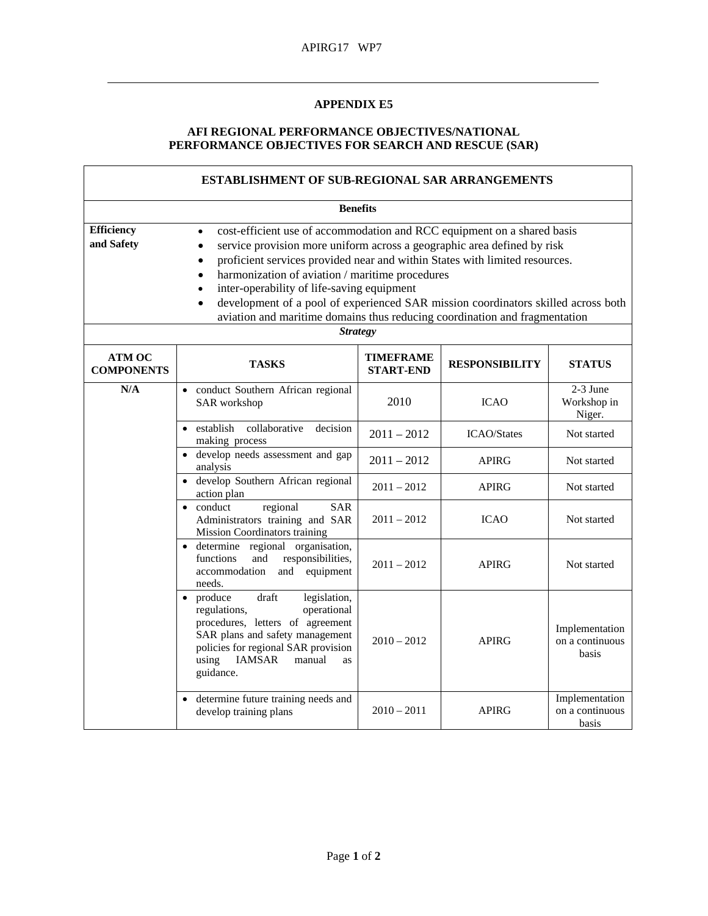## **APPENDIX E5**

## **AFI REGIONAL PERFORMANCE OBJECTIVES/NATIONAL PERFORMANCE OBJECTIVES FOR SEARCH AND RESCUE (SAR)**

| <b>ESTABLISHMENT OF SUB-REGIONAL SAR ARRANGEMENTS</b><br><b>Benefits</b> |                                                                                                                                                                                                                                               |                                      |                       |                                            |  |  |  |
|--------------------------------------------------------------------------|-----------------------------------------------------------------------------------------------------------------------------------------------------------------------------------------------------------------------------------------------|--------------------------------------|-----------------------|--------------------------------------------|--|--|--|
|                                                                          |                                                                                                                                                                                                                                               |                                      |                       |                                            |  |  |  |
| <b>ATM OC</b><br><b>COMPONENTS</b>                                       | <b>TASKS</b>                                                                                                                                                                                                                                  | <b>TIMEFRAME</b><br><b>START-END</b> | <b>RESPONSIBILITY</b> | <b>STATUS</b>                              |  |  |  |
| N/A                                                                      | · conduct Southern African regional<br>SAR workshop                                                                                                                                                                                           | 2010                                 | <b>ICAO</b>           | 2-3 June<br>Workshop in<br>Niger.          |  |  |  |
|                                                                          | • establish<br>collaborative<br>decision<br>making process                                                                                                                                                                                    | $2011 - 2012$                        | <b>ICAO/States</b>    | Not started                                |  |  |  |
|                                                                          | • develop needs assessment and gap<br>analysis                                                                                                                                                                                                | $2011 - 2012$                        | <b>APIRG</b>          | Not started                                |  |  |  |
|                                                                          | · develop Southern African regional<br>action plan                                                                                                                                                                                            | $2011 - 2012$                        | <b>APIRG</b>          | Not started                                |  |  |  |
|                                                                          | regional<br>• conduct<br><b>SAR</b><br>Administrators training and SAR<br>Mission Coordinators training                                                                                                                                       | $2011 - 2012$                        | <b>ICAO</b>           | Not started                                |  |  |  |
|                                                                          | · determine regional organisation,<br>functions<br>and<br>responsibilities,<br>accommodation<br>and equipment<br>needs.                                                                                                                       | $2011 - 2012$                        | <b>APIRG</b>          | Not started                                |  |  |  |
|                                                                          | • produce<br>draft<br>legislation,<br>operational<br>regulations,<br>procedures, letters of agreement<br>SAR plans and safety management<br>policies for regional SAR provision<br>using<br><b>IAMSAR</b><br>manual<br><b>as</b><br>guidance. | $2010 - 2012$                        | <b>APIRG</b>          | Implementation<br>on a continuous<br>basis |  |  |  |
|                                                                          | • determine future training needs and<br>develop training plans                                                                                                                                                                               | $2010 - 2011$                        | <b>APIRG</b>          | Implementation<br>on a continuous<br>basis |  |  |  |